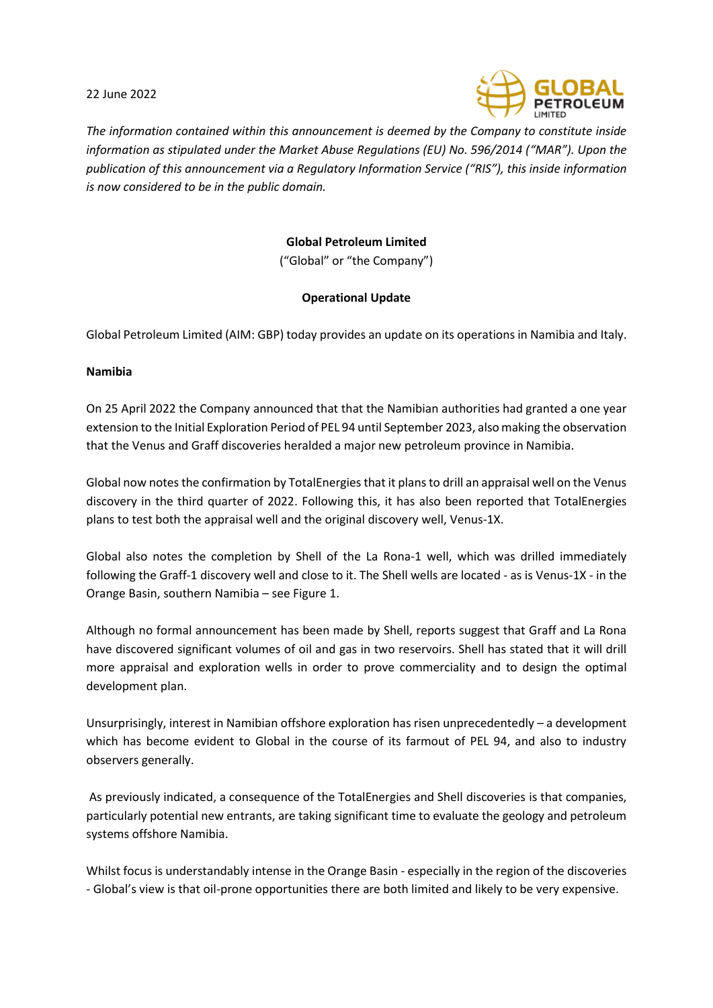22 June 2022



*The information contained within this announcement is deemed by the Company to constitute inside information as stipulated under the Market Abuse Regulations (EU) No. 596/2014 ("MAR"). Upon the publication of this announcement via a Regulatory Information Service ("RIS"), this inside information is now considered to be in the public domain.*

# **Global Petroleum Limited**

("Global" or "the Company")

## **Operational Update**

Global Petroleum Limited (AIM: GBP) today provides an update on its operations in Namibia and Italy.

### **Namibia**

On 25 April 2022 the Company announced that that the Namibian authorities had granted a one year extension to the Initial Exploration Period of PEL 94 until September 2023, also making the observation that the Venus and Graff discoveries heralded a major new petroleum province in Namibia.

Global now notes the confirmation by TotalEnergies that it plans to drill an appraisal well on the Venus discovery in the third quarter of 2022. Following this, it has also been reported that TotalEnergies plans to test both the appraisal well and the original discovery well, Venus-1X.

Global also notes the completion by Shell of the La Rona-1 well, which was drilled immediately following the Graff-1 discovery well and close to it. The Shell wells are located - as is Venus-1X - in the Orange Basin, southern Namibia – see Figure 1.

Although no formal announcement has been made by Shell, reports suggest that Graff and La Rona have discovered significant volumes of oil and gas in two reservoirs. Shell has stated that it will drill more appraisal and exploration wells in order to prove commerciality and to design the optimal development plan.

Unsurprisingly, interest in Namibian offshore exploration has risen unprecedentedly – a development which has become evident to Global in the course of its farmout of PEL 94, and also to industry observers generally.

As previously indicated, a consequence of the TotalEnergies and Shell discoveries is that companies, particularly potential new entrants, are taking significant time to evaluate the geology and petroleum systems offshore Namibia.

Whilst focus is understandably intense in the Orange Basin - especially in the region of the discoveries - Global's view is that oil-prone opportunities there are both limited and likely to be very expensive.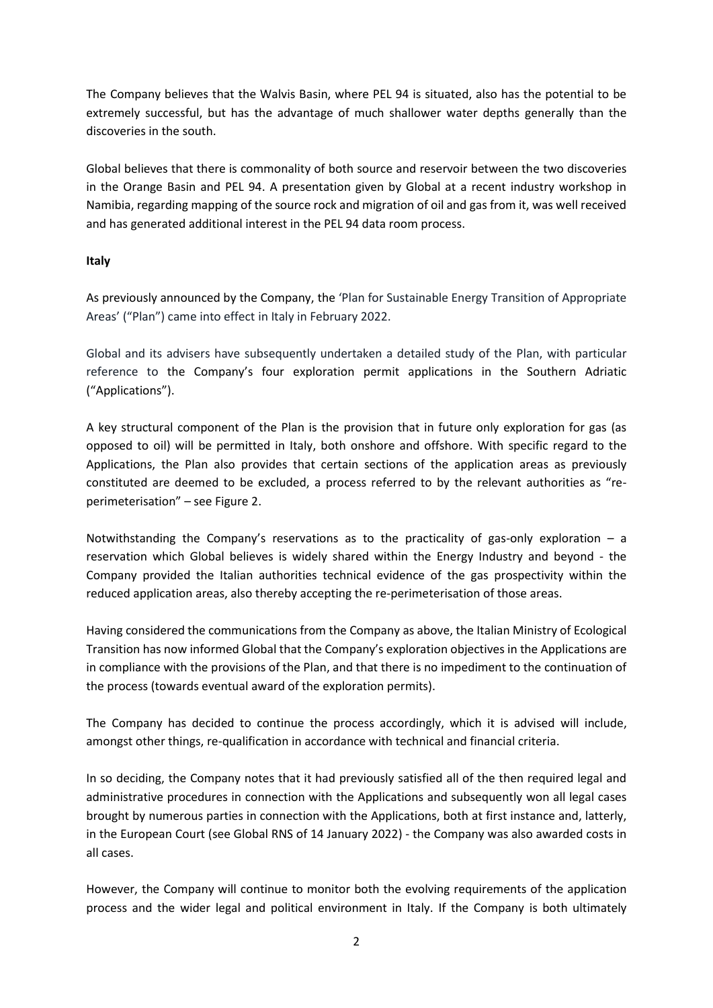The Company believes that the Walvis Basin, where PEL 94 is situated, also has the potential to be extremely successful, but has the advantage of much shallower water depths generally than the discoveries in the south.

Global believes that there is commonality of both source and reservoir between the two discoveries in the Orange Basin and PEL 94. A presentation given by Global at a recent industry workshop in Namibia, regarding mapping of the source rock and migration of oil and gas from it, was well received and has generated additional interest in the PEL 94 data room process.

## **Italy**

As previously announced by the Company, the 'Plan for Sustainable Energy Transition of Appropriate Areas' ("Plan") came into effect in Italy in February 2022.

Global and its advisers have subsequently undertaken a detailed study of the Plan, with particular reference to the Company's four exploration permit applications in the Southern Adriatic ("Applications").

A key structural component of the Plan is the provision that in future only exploration for gas (as opposed to oil) will be permitted in Italy, both onshore and offshore. With specific regard to the Applications, the Plan also provides that certain sections of the application areas as previously constituted are deemed to be excluded, a process referred to by the relevant authorities as "reperimeterisation" – see Figure 2.

Notwithstanding the Company's reservations as to the practicality of gas-only exploration  $-$  a reservation which Global believes is widely shared within the Energy Industry and beyond - the Company provided the Italian authorities technical evidence of the gas prospectivity within the reduced application areas, also thereby accepting the re-perimeterisation of those areas.

Having considered the communications from the Company as above, the Italian Ministry of Ecological Transition has now informed Global that the Company's exploration objectives in the Applications are in compliance with the provisions of the Plan, and that there is no impediment to the continuation of the process (towards eventual award of the exploration permits).

The Company has decided to continue the process accordingly, which it is advised will include, amongst other things, re-qualification in accordance with technical and financial criteria.

In so deciding, the Company notes that it had previously satisfied all of the then required legal and administrative procedures in connection with the Applications and subsequently won all legal cases brought by numerous parties in connection with the Applications, both at first instance and, latterly, in the European Court (see Global RNS of 14 January 2022) - the Company was also awarded costs in all cases.

However, the Company will continue to monitor both the evolving requirements of the application process and the wider legal and political environment in Italy. If the Company is both ultimately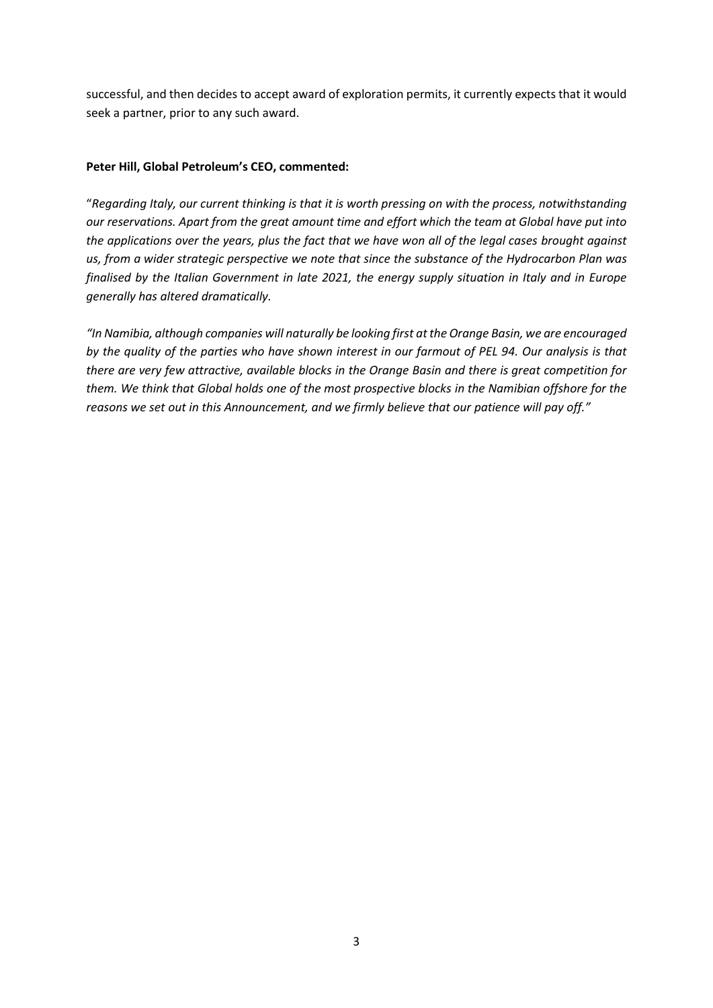successful, and then decides to accept award of exploration permits, it currently expects that it would seek a partner, prior to any such award.

## **Peter Hill, Global Petroleum's CEO, commented:**

"*Regarding Italy, our current thinking is that it is worth pressing on with the process, notwithstanding our reservations. Apart from the great amount time and effort which the team at Global have put into the applications over the years, plus the fact that we have won all of the legal cases brought against us, from a wider strategic perspective we note that since the substance of the Hydrocarbon Plan was finalised by the Italian Government in late 2021, the energy supply situation in Italy and in Europe generally has altered dramatically.*

*"In Namibia, although companies will naturally be looking first at the Orange Basin, we are encouraged by the quality of the parties who have shown interest in our farmout of PEL 94. Our analysis is that there are very few attractive, available blocks in the Orange Basin and there is great competition for them. We think that Global holds one of the most prospective blocks in the Namibian offshore for the reasons we set out in this Announcement, and we firmly believe that our patience will pay off."*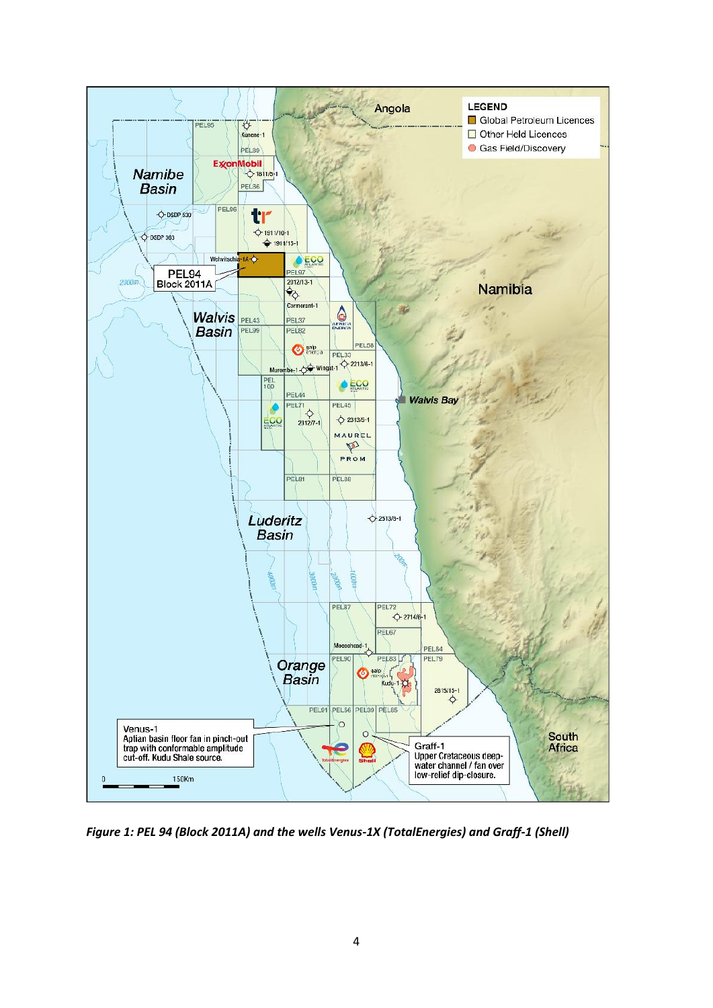

*Figure 1: PEL 94 (Block 2011A) and the wells Venus-1X (TotalEnergies) and Graff-1 (Shell)*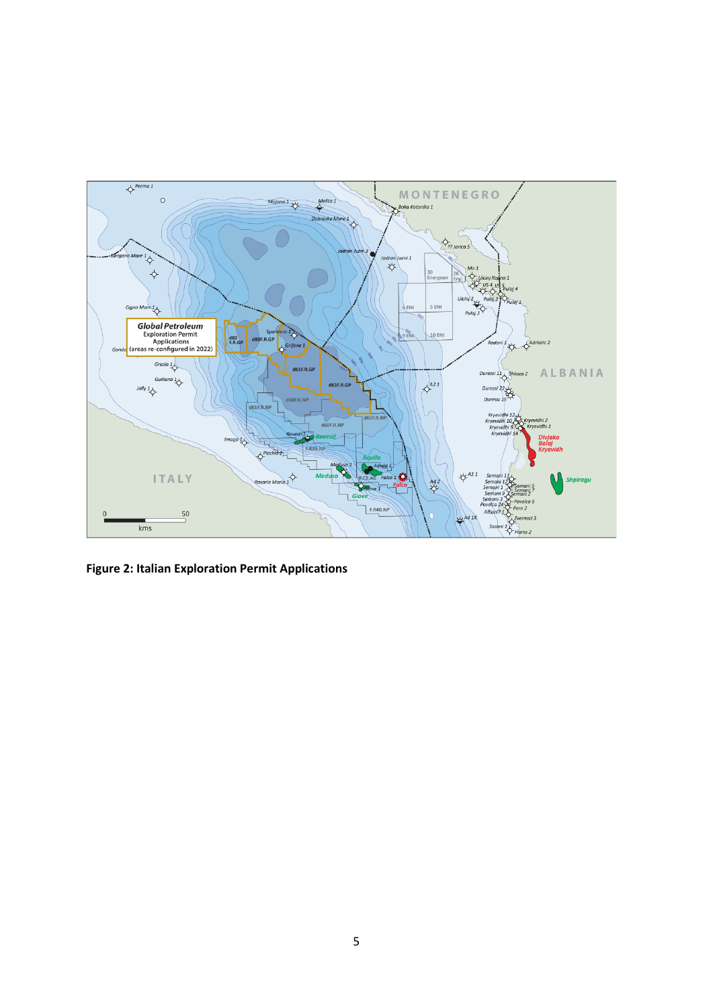

**Figure 2: Italian Exploration Permit Applications**